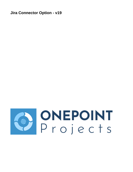**Jira Connector Option - v19**

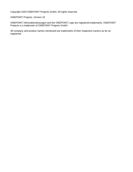Copyright 2020 ONEPOINT Projects GmbH. All rights reserved.

ONEPOINT Projects, Version 19

ONEPOINT Informationslosungen and the ONEPOINT Logo are registered trademarks, ONEPOINT Projects is a trademark of ONEPOINT Projects GmbH.

All company and product names mentioned are trademarks of their respective owners as far as registered.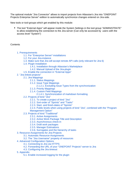The optional module "Jira Connector" allows to import projects from Atlassian's Jira into "ONEPOINT Projects Enterprise Server"-edition to automatically synchronize changes entered on Jira-side.

New tools or tool-groups which get enabled by this module:

• The tool "External Apps" will appear inside the System Settings in the tool group "ADMINISTRATE" to allow establishing the connection to the Jira-server (Can only be accessed by users with the access level "System")

## **Contents**

- [1. Prerequirements](#page-3-0)
	- [1.1. For "Enterprise Server"-installations](#page-3-1)
	- [1.2. For your Jira-instance](#page-3-2)
	- [1.3. Make sure that Jira will accept remote API calls \(only relevant for Jira 6\)](#page-4-0)
	- [1.4. Plugin Installation](#page-4-1)
		- [1.4.1. Installation through Atlassian's Marketplace](#page-4-2)
		- [1.4.2. Manual Upload of the Jira-plugin](#page-4-3)
	- [1.5. Enable the connection in "External Apps"](#page-5-0)
- [2. "Jira linked projects"](#page-7-0)
	- [2.1. Jira Mappings](#page-8-0)
		- [2.1.1. Status Mappings](#page-8-1)
		- [2.1.2. Issue Type Mappings](#page-8-2)
			- [2.1.2.1. Excluding Issue Types from the synchronization](#page-8-3)
		- [2.1.3. Priority Mappings](#page-9-0)
		- [2.1.4. Custom Field Mappings](#page-9-1)
			- [2.1.4.1. Synchronization of markdown formatting](#page-10-0)
	- [2.2. Projects of kind "Jira"](#page-10-1)
		- [2.2.1. To create a project of kind "Jira"](#page-11-0)
		- [2.2.2. Sort-order of "Sprints" and "Tasks"](#page-11-1)
		- [2.2.3. Start- and finish-dates of "Sprints"](#page-11-2)
		- [2.2.4. Public levels when using projects of kind "Jira", combined with the "Program](#page-12-0)  [Management Option"](#page-12-0)
	- [2.3. Projects of kind "Traditional"](#page-12-1)
		- [2.3.1. Active Assignments](#page-13-0)
		- [2.3.2. Active Work Package Title and Description](#page-13-1)
		- [2.3.3. Asynchronous check-in](#page-14-0)
		- [2.3.4. Draft work packages](#page-14-1)
		- [2.3.5. Manager Estimations](#page-14-2)
		- [2.3.6. Surrogates and the hierarchy of tasks](#page-14-3)
- [3. Resource-Assignments for Jira-Projects](#page-15-0)
	- [3.1. Automatic Resource-Assignments](#page-15-1)
	- [3.2. The "Jira Username" property of resources](#page-16-0)
- [4. Advanced Configuration Options](#page-17-0)
	- [4.1. Connecting to Jira via HTTPS](#page-17-1)
	- [4.2. Forwarding the URL of your "ONEPOINT Projects"-server to Jira](#page-18-0)
	- [4.3. Configuring the Jira timeout](#page-18-1)
- [5. Appendix](#page-18-2)
	- [5.1. Enable increased logging for the plugin](#page-18-3)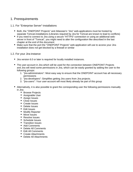# <span id="page-3-0"></span>1. Prerequirements

# <span id="page-3-1"></span>1.1. For "Enterprise Server"-installations

- Both, the "ONEPOINT Projects" and Atlassian's "Jira" web-applications must be hosted by separate Tomcat-installations (Libraries required by Jira for Tomcat are known to lead to conflicts)
- If you need to connect to Jira using a secure "HTTPS"-connection or using an additional webserver in front of "Tomcat", you might need to alter the configuration like described in the last chapter at the end of this document
- Make sure that the port the "ONEPOINT Projects" web-application will use to access your Jirainstallation does not get blocked by a firewall or similar

# <span id="page-3-2"></span>1.2. For your Jira-instance

- Jira version 6.0 or later is required for locally installed instances.
- The user-account in Jira which will be used for the connection between ONEPOINT Projects and Jira will need some permissions in Jira, which can be easily granted by adding the user to the following groups:
	- 1. "jira-administrators": Most easy way to ensure that the ONEPOINT account has all necessary permissions
	- 2. "jira-developers": Simplifies getting Jira users from Jira projects.
	- 3. "jira-users": Your user-account will most likely already be part of this group
- Alternatively, it is also possible to grant the corresponding user the following permissions manually in Jira:
	- Browse Projects
	- Assignable User
	- Assign Issues
	- Close Issues
	- Create Issues
	- Delete Issues
	- Edit Issues
	- Modify Reporter
	- Move Issues
	- Resolve Issues
	- Schedule Issues
	- Transition Issues
	- Add Comments
	- Delete All Comments
	- Edit All Comments
	- Create Attachments
	- Delete All Attachments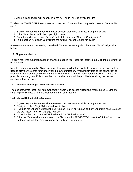<span id="page-4-0"></span>1.3. Make sure that Jira will accept remote API calls (only relevant for Jira 6)

To allow the "ONEPOINT Projects"-server to connect, Jira must be configured to listen to "remote API calls":

- 1. Sign on to your Jira-server with a user-account that owns administrative permissions
- 2. Click "Administration" in the upper right corner
- 3. From the pull-down menu "System", select the first item "General Configuration"
- 4. In the section "Options", you will find the setting "Accept remote API calls"

Please make sure that this setting is enabled. To alter the setting, click the button "Edit Configuration" below

## <span id="page-4-1"></span>1.4. Plugin Installation

To allow real-time synchronization of changes made in your local Jira instance, a plugin must be installed on Jira-side.

Note that when using a Jira Cloud instance, this plugin will not be available. Instead, a webhook will be used to provide the same functionality for the synchronization. When initially testing the connection to your Jira Cloud instance, the creation of this webhook will either be done automatically or if that is not possible due to e.g. insufficient permissions, detailed steps will be provided describing the manual creation of this webhook.

## <span id="page-4-2"></span>**1.4.1. Installation through Atlassian's Marketplace**

The easiest way to install our "Jira Connector"-plugin is to access Atlassian's Marketplace for Jira and installing the "Project & Portfolio Management for Jira"-add-on.

## <span id="page-4-3"></span>**1.4.2. Manual Upload of the Jira-plugin**

- 1. Sign on to your Jira-server with a user-account that owns administrative permissions
- 2. Navigate to the "Plugin/Add-on"-administration
- 3. If you do not yet see a button labeled "Upload Plugin" or "Upload add-on" you might need to select the tab "Install" or click "Manage Add-ons"
- 4. Now click the button labeled "Upload Plugin" or "Upload add-on"
- 5. Click the "Browse"-button and select the file "onepoint-PROJECTS-Connector-3.1.1.jar" which can be found in the folder "jira\_plugin" of our software-distributions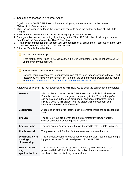## <span id="page-5-0"></span>1.5. Enable the connection in "External Apps"

- 1. Sign in to your ONEPOINT Projects-instance using a system-level user like the default "Administrator" user-account
- 2. Click the tool-shaped button in the upper right corner to open the system settings of ONEPOINT **Projects**
- 3. Select the tool "External Apps" inside the tool-group "ADMINISTRATE"
- 4. Enter your Jira connection settings by clicking on the "Jira URL" field. Jira cloud support can be enabled via the "Instance on Jira Cloud" checkbox
- 5. It is highly recommended that you test your Jira connection by clicking the "Test" button in the "Jira Connection Settings" dialog or on the main toolbar
- 6. Click the "Enable Jira"-checkbox

## **No tool "External Apps"?**

If the tool "External Apps" is not visible then the "Jira Connector Option" is not activated for your server or your account.

# **API Token for Jira Cloud instances**

For Jira Cloud instances, the user password can not be used for connections to the API and instead you will have to generate an API Token for the authentication. Details can be found at:<https://confluence.atlassian.com/cloud/api-tokens-938839638.html>

Afterwards all fields in the tool "External Apps" will allow you to enter the connection-parameters:

| <b>Instance</b>                                       | It is possible to connect ONEPOINT Projects to multiple Jira instances.<br>Each Jira instance is configurable separately inside "External Apps" and<br>can be selected in the drop-down menu "Instance" afterwards. When<br>linking a ONEPOINT project to a Jira project, all projects from both<br>instances are selectable afterwards. |  |
|-------------------------------------------------------|------------------------------------------------------------------------------------------------------------------------------------------------------------------------------------------------------------------------------------------------------------------------------------------------------------------------------------------|--|
| <b>Description</b>                                    | A description of the Jira instance can be entered inside the corresponding<br>field.                                                                                                                                                                                                                                                     |  |
| <b>Jira URL</b>                                       | The URL to your Jira-server, for example "https://my.jira.server/jira",<br>without "/secure/Dashboard.jspa" or similar.                                                                                                                                                                                                                  |  |
| Jira Username                                         | The Jira-account's user-name that will be used to retrieve data from Jira.                                                                                                                                                                                                                                                               |  |
| Jira Password                                         | The password or API token for the user-account entered above.                                                                                                                                                                                                                                                                            |  |
| <b>Synchronize Jira</b><br>worklogs<br>(timetracking) | This checkbox enables the automatic creation of work records according to<br>logged work in Jira for all linked projects in ONEPOINT.                                                                                                                                                                                                    |  |
| <b>Enable Jira two-</b><br>way<br>synchronization     | This checkbox is enabled by default. In case you only want to create<br>projects with kind "Jira", it is possible to deactivate the two-way-<br>synchronization by disabling this checkbox.                                                                                                                                              |  |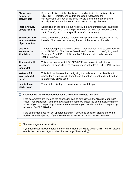| <b>Show issue</b><br>number in<br>activity lists      | If you would like that the Jira keys are visible inside the activity lists in<br>ONEPOINT Projects, enable this checkbox. Afterwards the<br>corresponding Jira key of the issue is visible inside the tab "Planning<br>/Activity List" and the issue can be accessed through this key. |  |
|-------------------------------------------------------|----------------------------------------------------------------------------------------------------------------------------------------------------------------------------------------------------------------------------------------------------------------------------------------|--|
| <b>Public Activity</b><br>Levels for Jira             | Depending on the entered outline level, the synchronized work packages<br>of projects with kind "Jira" are public by default. The outline level can be<br>set to "None", "All" or to a specific level (1st Level etc.).                                                                |  |
| Synchronization<br>must not delete<br>objects in Jira | If this checkbox is enabled, deleting work packages of projects which are<br>linked to Jira, does not have any impact of the issue on Jira side.                                                                                                                                       |  |
| <b>Use Wiki</b><br><b>Renderer for</b><br>Jira fields | The formatting of the following default fields can now also be synchronized<br>to ONEPOINT or Jira: "Issue: Description", "Issue: Comment", "Log Work:<br>Description" and "Project: Description". More details can be found in<br>chapter 2.1.4.1.                                    |  |
| Jira event poll<br>interval<br>(seconds)              | This is the interval which ONEPOINT Projects uses to ask Jira for<br>changes. 30 seconds is the recommended value from ONEPOINT Projects.                                                                                                                                              |  |
| Instance full<br>sync schedule<br>(UTC)               | This field can be used for configuring the daily sync. If this field is left<br>empty, the " <jira-trigger>" from the configuration file or the default setting<br/>at 8am every day is used.</jira-trigger>                                                                           |  |
| Last full sync<br>start / finish                      | These fields display the duration of the last full sync.                                                                                                                                                                                                                               |  |

## **Establishing the connection between ONEPOINT Projects and Jira**

If the parameters are fine and the connection can be established, the "Status Mappings"-, "Issue Type Mappings"- and "Priority Mappings"-tables will get filled automatically with the values of your corresponding Jira-instance. Afterwards you can choose the corresponding values on ONEPOINT-side.

If the connection does not get updated although it should be possible, please check the logfiles "atlassian-jira.log" of your Jira-server for errors or contact our support-team.

# **Jira Worklog-synchronization**

If you need your tracked efforts to be synchronized from Jira to ONEPOINT Projects, please enable the checkbox "Synchronize Jira worklogs (timetracking)".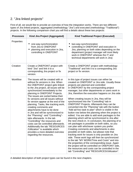# <span id="page-7-0"></span>2. "Jira linked projects"

First of all, we would like to provide an overview of how the integration works. There are two different types of Jira linked projects, aggregated (methodology "Jira") and executed (methodology "Traditional") projects. In the following comparison chart you will find a details about these two projects:

| <b>Processes</b> | <b>Kind Jira Project (Aggregated)</b>                                                                                                                                                                                                                                                                                                                                                                                                                                                                                                                                                                                                                                                                                                                                          | <b>Kind Traditional Project (Executed)</b>                                                                                                                                                                                                                                                                                                                                                                                                                                                                                                                                                                                                                                                                                                                                                                                                                                                                                                                                                                                                                                                                                                                                                                                                                                                                                                     |
|------------------|--------------------------------------------------------------------------------------------------------------------------------------------------------------------------------------------------------------------------------------------------------------------------------------------------------------------------------------------------------------------------------------------------------------------------------------------------------------------------------------------------------------------------------------------------------------------------------------------------------------------------------------------------------------------------------------------------------------------------------------------------------------------------------|------------------------------------------------------------------------------------------------------------------------------------------------------------------------------------------------------------------------------------------------------------------------------------------------------------------------------------------------------------------------------------------------------------------------------------------------------------------------------------------------------------------------------------------------------------------------------------------------------------------------------------------------------------------------------------------------------------------------------------------------------------------------------------------------------------------------------------------------------------------------------------------------------------------------------------------------------------------------------------------------------------------------------------------------------------------------------------------------------------------------------------------------------------------------------------------------------------------------------------------------------------------------------------------------------------------------------------------------|
| Properties       | one-way-synchronization<br>from Jira to ONEPOINT<br>planning and execution in Jira,<br>٠<br>controlling in ONEPOINT                                                                                                                                                                                                                                                                                                                                                                                                                                                                                                                                                                                                                                                            | two-way-synchronization<br>controlling in ONEPOINT and execution in<br>Jira, planning on both sides depending on the<br>department (project manager will most likely<br>work in ONEPOINT whereas the IT and<br>technical departments will work in Jira)                                                                                                                                                                                                                                                                                                                                                                                                                                                                                                                                                                                                                                                                                                                                                                                                                                                                                                                                                                                                                                                                                        |
| Creation         | Create a ONEPOINT project with<br>kind "Jira" and link it to a<br>corresponding Jira project or fix<br>version.                                                                                                                                                                                                                                                                                                                                                                                                                                                                                                                                                                                                                                                                | Create a ONEPOINT project with methodology<br>"Traditional" and link it to a corresponding Jira<br>project or fix version.                                                                                                                                                                                                                                                                                                                                                                                                                                                                                                                                                                                                                                                                                                                                                                                                                                                                                                                                                                                                                                                                                                                                                                                                                     |
| Workflow         | The issues will be created with or<br>without fix versions in Jira. When<br>the ONEPOINT project gets linked<br>to the Jira project, all issues will be<br>synchronized immediately to the<br>planning in ONEPOINT Projects.<br>The issues are sorted below their<br>fix versions and all issues without<br>fix version appear at the end of the<br>planning. Tasks, like tracking work,<br>creating comments and<br>attachments have to be done<br>in Jira and will be synchronized to<br>the "Planning"- and "Controlling"-<br>tabs afterwards. In the tab<br>"Controlling" the resources and<br>costs can be controlled afterwards.<br>Additionally the tab "RESOURCES<br>/Utilization" is available which<br>provides a more detailed overview<br>regarding the resources. | In this type of project issues can either be<br>created on ONEPOINT or Jira side. Usually these<br>projects are planned and controlled<br>in ONEPOINT by the corresponding project<br>manager, but other departments or users work in<br>Jira, therefore the execution happens on Jira side.<br>When creating issues in Jira, they will be<br>synchronized into the "Controlling"-tab in<br><b>ONEPOINT Projects. Afterwards they can be</b><br>converted into the "Planning"-tab with the button<br>"Add ad-hoc-task to plan" which is visible in the<br>button row below the planning when the project is<br>edited. You are able to add work packages to the<br>planning which will be synchronized to Jira after<br>the next check-in. In conclusion, the planning of w<br>ork packages is possible on both sides, so you<br>can plan with whichever system you prefer.<br>Creating comments and attachments is also<br>possible on both sides, but please note that<br>tracking work for issues is only possible on Jira<br>side. These work logs will then be synchronized<br>to the tab "MY WORK/Time and Costs" and into<br>the properties of the corresponding issue. Again<br>the project will be controlled on ONEPOINT side,<br>the resources and costs can be controlled in the<br>tab "Controlling" and "RESOURCES/Utilization". |

A detailed description of both project types can be found in the next chapters.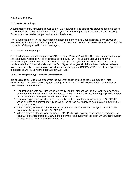# <span id="page-8-0"></span>2.1. Jira Mappings

## <span id="page-8-1"></span>**2.1.1. Status Mappings**

A customizable status mapping is available in "External Apps". The default Jira statuses can be mapped to an ONEPOINT status and will be set for all synchronized work packages according to the mapping. Custom statuses can be mapped and synchronized as well.

The "Status"-field of your Jira-issue does not affect the planning itself, but if needed, it can always be monitored inside the tab "Controlling/Activity List" in the column "Status" or additionally inside the "Edit Ad Hoc Activity"-dialog for ad hoc work packages.

## <span id="page-8-2"></span>**2.1.2. Issue Type Mappings**

All default and custom activity types from "CUSTOMIZE/Activities" in ONEPOINT can be mapped to any Jira issue type. All issues will be synchronized from ONEPOINT to Jira and vice versa with the corresponding mapped issue type in the system settings. The synchronized issue type is additionally visible inside the "Edit Activity"-dialog in the field "Type". Changes which have been made to the issue type in Jira will only be synchronized for ad hoc work packages to ONEPOINT Projects. Issue Types are reportable as well by using the field "Activity.Sub Type".

#### <span id="page-8-3"></span>**2.1.2.1. Excluding Issue Types from the synchronization**

It is possible to exclude issue types from the synchronization by setting the issue type to "-- Not synchronized --" in ONEPOINT's system settings in "ADMINISTRATE/External Apps". Some special cases need to be considered:

- If an issue type gets excluded which is already used for planned ONEPOINT work packages, the corresponding work package won't be deleted in Jira. It remains in Jira, the mapping will be ignored in this case and all changes will still be synchronized to Jira.
- If an issue type gets excluded which is already used for an ad hoc work package in ONEPOINT which is linked to a corresponding Jira issue, the ad hoc work package gets deleted in ONEPOINT, but remains in Jira.
- When creating an issue in Jira with an issue type that is excluded from the synchronization, the issue won't be synchronized to ONEPOINT.
- When creating a planned work package in ONEPOINT with an issue type that is not mapped, the issue will be synchronized to Jira with the next valid issue type from the list in ONEPOINT's system settings in "ADMINISTRATE/External Apps".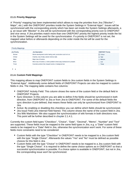#### <span id="page-9-0"></span>**2.1.3. Priority Mappings**

A "Priority"-mapping has been implemented which allows to map the priorities from Jira ("Blocker"," Major", etc.) with the ONEPOINT priorities inside the System Settings in "External Apps". Issues will be synchronized with the corresponding priority which has been set inside the System Settings afterwards, e. g. an issue with "Blocker" in Jira will be synchronized with the corresponding priority icon to ONEPOINT and vice versa. If Jira priorities match more than one ONEPOINT priority the highest priority inside the list in the System Settings will be used for the synchronization. If a priority in ONEPOINT is not set, the mapped value before or afterwards depending on the order inside the list will be used for the synchronization.

| <b>Priority Mappings</b> |                                                                            | $\vert$ A                |
|--------------------------|----------------------------------------------------------------------------|--------------------------|
| <b>Jira Priority</b>     | <b>Jira Description</b>                                                    | <b>ONEPOINT Priority</b> |
| <b>Blocker</b>           | Blocks development and/or testing work, production could not run.          | $\equiv$ Critical        |
| Critical                 | Crashes, loss of data, severe memory leak.                                 | $\equiv$ High            |
| Major                    | Major loss of function.                                                    | $\equiv$ Medium          |
| <b>Minor</b>             | Minor loss of function, or other problem where easy workaround is present. | Ξ<br>Low                 |
| <b>Trivial</b>           | Cosmetic problem like misspelt words or misaligned text.                   | $\equiv$ Trivial         |
|                          |                                                                            |                          |

 $\uparrow$   $\downarrow$ 

#### <span id="page-9-1"></span>**2.1.4. Custom Field Mappings**

This mapping allows to map ONEPOINT custom fields to Jira custom fields in the System Settings in "External Apps". Additionally some default fields of ONEPOINT Projects can also be mapped to custom fields in Jira. The mapping table contains five columns:

- ONEPOINT Activity Field: This column shows the name of the custom field or the default field in ONEPOINT Projects.
- Sync Direction: In this column you are able to define if the fields should be synchronized in both direction, from ONEPOINT to Jira or from Jira to ONEPOINT. For some of the default fields the sync direction is pre-defined, that means these fields can only be synchronized from ONEPOINT to Jira.
- Active: By enabling or disabling this checkbox you can define which fields should be synchronized.
- Jira Issue Field (Jira Internal Field Name): This column shows the name of the custom field in Jira.
- Jira Wiki Markdown: We also support the synchronization of wiki formats in both directions now. This point will be further described in chapter 2.1.4.1.

Currently the custom field types "Checkbox", "Choice", "Date", "Decimal", "Memo", "Number" and "Text" are supported. These fields must be mapped to the same field types in Jira, e.g. a "Date"-custom field needs to be mapped to a "Date"-field in Jira, otherwise the synchronization won't work. For some of these fields more constraints need to be considered:

- Custom fields with the type "Checkbox" in ONEPOINT needs to be mapped to a Jira custom field with the type "Single Choice". Afterwards the values "Yes" and "No" must be defined as possible choices for this field in Jira.
- Custom fields with the type "Choice" in ONEPOINT needs to be mapped to a Jira custom field with the type "Single Choice". It is required to define the same choice options as in ONEPOINT so that a successful synchronization is possible. If a choice option is available in ONEPOINT, but not in Jira, the corresponding issue won't be synchronized.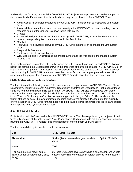Additionally, the following default fields from ONEPOINT Projects are supported and can be mapped to Jira custom fields. Please note, that these fields can only be synchronized from ONEPOINT to Jira:

- Actual Costs: All activated cost types of your ONEPOINT instance can be mapped to Jira custom fields.
- Assigned Resources: If a resource or pool is assigned in ONEPOINT, the corresponding pool or resource name of the Jira user is shown in this field in Jira.
- Created
- Expanded Assigned Resources: If a pool is assigned in ONEPOINT, all included resources that have a corresponding Jira users are shown in this field in Jira.
- Modified
- Plan Costs: All activated cost types of your ONEPOINT instance can be mapped to Jira custom fields.
- Responsible Resource
- Start (start date of work packages)
- WBS Code (global): Synchronizes the project number and the wbs code to the mapped custom fields to Jira.

If you make changes on custom fields in Jira which are linked to work packages in ONEPOINT which are part of the planning, a blue icon gets shown in the properties of the work packages in ONEPOINT. Similar to the "Active Assignment"- and "Active Title/Description"-features you can take over the new value from Jira to planning in ONEPOINT or you can reset the custom fields to the original planned values. After checking-in the project plan, Jira as well as ONEPOINT Projects should contain the same values.

#### <span id="page-10-0"></span>**2.1.4.1. Synchronization of markdown formatting**

The formatting of the following default fields can now also be synchronized to ONEPOINT or Jira: "Issue: Description", "Issue: Comment", "Log Work: Description" and "Project: Description". That means if these fields are formatted with bold, italic etc. in Jira or ONEPOINT, they will also be displayed with these formats in the second system. Additionally, it is also possible to enable the checkbox "JIRA Wiki Format" in the "Custom Field Mappings"-section for custom types with the type "Memo". Afterwards also the format of these fields will be synchronized depending on the sync direction. Please note, that currently only the supported ONEPOINT formats (headings, bold, italic, ordered list, unordered list, link and quote) are supported to be synchronized correctly.

# <span id="page-10-1"></span>2.2. Projects of kind "Jira"

Projects with kind "Jira" are read-only in ONEPOINT Projects. The planning-hierarchy of projects of kind "Jira" only consists of the activity types "Sprint" and "Task". Such projects do not allow changes inside the planning on "ONEPOINT Projects"-side and get directly imported from your Jira-server.

The transferred data gets translated in the following way:

| Jira                                                                          | <b>ONEPOINT Projects</b>                                                                                                                           |
|-------------------------------------------------------------------------------|----------------------------------------------------------------------------------------------------------------------------------------------------|
| <b>Fix Version</b>                                                            | <b>Sprint</b> (Jira's release-date gets translated to Sprint's "Finish"-<br>date)                                                                  |
| <b>Issue</b>                                                                  | Task                                                                                                                                               |
| (For example Bug, New Feature,<br>Task, Sub-task Improvement, Epic,<br>Story) | (At least 2nd outline-level, always has a parent-sprint which gets<br>chosen according to the latest fix version entered for the issue in<br>Jira) |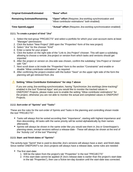| <b>Original Estimate/Estimated</b>  | "Base"-effort                                                                                             |
|-------------------------------------|-----------------------------------------------------------------------------------------------------------|
| <b>Remaining Estimate/Remaining</b> | "Open"-effort (Requires Jira-worklog synchronization and<br>"Allow contributor estimations" both enabled) |
| <b>Time Spent/Logged</b>            | "Actual"-effort (Requires Jira-worklog synchronization enabled)                                           |

## <span id="page-11-0"></span>**2.2.1. To create a project of kind "Jira"**

- 1. Select the tool-group "PROJECTS" and select a portfolio for which your user-account owns at least "Manager"-permissions
- 2. Click the button "New Project" (Will open the "Properties"-form of the new project)
- 3. Select "Jira" for the chooser "Kind"
- 4. Enter a name for your project
- 5. Click the button on the right side of the "Link to Jira Project"-chooser. This will open a subdialog allowing to choose a remote Jira-project or version from which tasks and versions should get imported
- 6. After the project or version on Jira-side was chosen, confirm the subdialog "Jira Project or Version" with "OK"
- 7. Next scroll down a bit inside the "Properties"-form to the section "Constraints" and enable or disable "Allow contributor estimations" as required
- 8. After confirming the project-creation with the button "Save" on the upper right side of the form the planning will get retrieved from Jira

# **Setting "Allow Contributor Estimations" for step 7 above**

If you are using Jira-worklog-synchronization, having "Synchronize Jira worklogs (time-tracking)" enabled in the tool "External Apps" and you would like to monitor the tracked values in ONEPOINT Projects, please make sure to enable the setting "Allow contributor estimations" for the project, otherwise you are not able to monitor the actual and completed values in ONEPOINT Projects.

## <span id="page-11-1"></span>**2.2.2. Sort-order of "Sprints" and "Tasks"**

These are the rules for the sort-order of Sprints and Tasks in the planning and controlling shown inside the tool "PROJECTS":

- Tasks will always first be sorted according their "Importance", starting with highest importance and then descending. All tasks with the same priority will be sorted alphabetically by their names afterwards.
- Sprints will always be shown in the same order like you would see them in Jira or Greenhopper's planning-views, except versions without a release-date - These will always be shown at the end of the "Activity List" of the tool "Planning".

## <span id="page-11-2"></span>**2.2.3. Start- and finish-dates of "Sprints"**

The activity-type "Sprint" that is used to describe Jira's versions will always have a start- and finish-date. Since neither ONEPOINT's nor Jira's projects will always have a release-date, some rules are needed:

- The first start-date:
	- 1. Will be the taken from the project's tab "Properties" in the tool "PROJECTS"
	- 2. If this start-date cannot be applied (If Jira's release-date is earlier than the project's start-date in the tab "Properties"), then use a fictive ten-day duration until the start-date was corrected.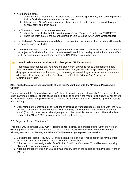- All other start-dates:
	- 1. if a new Sprint's finish-date is not identical to the previous Sprint's one, then use the previous Sprint's finish-date as start-date for the new one
	- 2. If the previous Sprint's finish-date is identical, then make both Sprints run parallel (Apply identical start- and finish-dates)
- If a Jira-version does not have a release-date:
	- 1. Inherit the project's finish-date from the project's tab "Properties" in the tool "PROJECTS"
	- 2. Inherit the finish-date of the parent Sprint (For child-versions, when using Greenhopper)
- If a child-version's release-date was defined to be later that the parent's, then this date will override the parent-Sprint's finish-date
- If no finish-date was created for the project in the tab "Properties", then always use the start-date of the project as finish-date if no other is available (Will result in a one-day duration for all sprints if no finish- or release date was entered, neither on ONEPOINT- nor on Jira-side

## **Limited real-time synchronization for changes on JIRA's versions**

Please note that changes on Jira's versions can in most situations not be synchronized in realtime because of technical limitations. Instead these changes will only be applied during the next daily synchronization-cycle. If needed, you can always force a full synchronization-cycle to update all changes by clicking the button "Synchronize" in the tool "External Apps", using the "Administrator"-login.

## <span id="page-12-0"></span>**2.2.4. Public levels when using projects of kind "Jira", combined with the "Program Management Option"**

The optional module "Program Management" allows to include projects of kind "Jira" as sub-projects in other plannings. If tasks or sprints of sub-projects shall be shown in the master-planning, they will have to be marked as "Public". For projects of kind "Jira" we included a setting which allows to apply this setting automatically:

Depending on the entered outline level, the synchronized work packages of projects with kind "Jira" are public by default when the chooser "Public Activity Levels for Jira" is activated in "External Apps" (Can only be accessed after signing on with the "Administrator"-account). The outline level can be set to "None", "All" or to a specific level (1st Level etc.).

# <span id="page-12-1"></span>2.3. Projects of kind "Traditional"

This latest way to connect ONEPOINT Projects to Jira is similar to a project of kind "Jira", but here any existing project of kind "Traditional" can be linked to a project or version stored in your Jira-server, allowing to maintain a planning in ONEPOINT while executing the project on Jira-side.

- 1. Select the tool-group "PROJECTS" and select a project of kind "Traditional" in the navigator for which your user-account owns at least "Manager"-permissions
- 2. Click the button on the right side of the "Link to Jira Project"-chooser. This will open a subdialog allowing to choose a remote Jira-project or version
- 3. After the project or version on Jira-side was chosen, confirm the subdialog "Jira Project or Version" with "OK"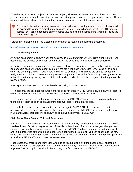When linking an existing project plan to a Jira project, all issues get immediately synchronized to Jira. If you are currently editing the planning, the last submitted plan version will be synchronized to Jira. All new changes will be synchronized to Jira after checking-in a new version of the project plan.

Please note that after checking in a new version, all tasks or work packages in your planning will be mirrored to your Jira project and all existing issues in Jira will appear on ONEPOINT-side as "Issues" or "Tasks" depending on the entered values inside the "Issue Type Mapping", inside the tab "Controlling", too.

Further information on the "Jira Executed" project can be found in the following document:

<https://www.onepoint-projects.com/en/resources/datasheets/jira-connector>

#### <span id="page-13-0"></span>**2.3.1. Active Assignments**

An active assignment is shown when the assignee in Jira differs from ONEPOINT's planning, but it will not replace the planned assignment automatically. The described functionality works as follows:

An active assignment is auto-generated when a synchronized issue is reassigned in Jira. In this case an icon appears beside the "Resource"-column in the tab "Planning/Activity List". By clicking on this icon when the planning is in edit-mode a new dialog will be available in which you are able to accept the assignment from Jira or to reset it to the planned assignment. Due to this functionality, reassignments do not get lost in the re-planning cycle, but it is still easily possible to reset the assignment to the previously planned value.

A few special cases need to be considered when using this functionality:

- In case that the assigned resource from Jira does not exist on ONEPOINT side, the planned resource will be marked with an asterisk in ONEPOINT, but it won't be synchronized to Jira.
- Resources which were not part of the project team in ONEPOINT so far, will be automatically added to the project team as soon as an assignment is available for them on Jira side.
- If multiple resources are assigned to a work package in ONEPOINT, the issue in Jira remains unassigned. If a user, who is not part of the planned resources in ONEPOINT, is assigned to the task in Jira afterwards, that user will be shown as an active assignment in ONEPOINT.

#### <span id="page-13-1"></span>**2.3.2. Active Work Package Title and Description**

Similar to the functionality "Active Assignments", this functionality has been implemented for the title and the description of work packages as well. If the title or description of an issue in Jira gets changed and the corresponding linked work package is planned in ONEPOINT, a blue icon appears in the activity list and in the properties of the work packages. When editing the project plan, you can either take the new value over into the planning or reset it to the original planned value. After checking-in the project plan, Jira as well as ONEPOINT should have the same value.

Please note, that there is one restriction when using this functionality: If the description of an issue is empty and adding a description in Jira, resetting it to an empty description in ONEPOINT does not work anymore. The description remains in Jira although the field is empty in ONEPOINT.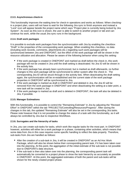## <span id="page-14-0"></span>**2.3.3. Asynchronous check-in**

This functionality improves the waiting time for check-in operations and works as follows: When checkingin a project plan, users will not have to wait for the following Jira sync to finish anymore and instead a "Lock"-icon will appear beside the project name which says "Project plan is currently being locked by Jira System". As soon as this icon is shown, the user is able to switch to another project or tab and can continue his work, while the usual Jira sync runs in the background.

## <span id="page-14-1"></span>**2.3.4. Draft work packages**

It is possible to exclude work packages from the synchronization with Jira by enabling the checkbox "Draft" in the properties of the corresponding work package. When enabling this checkbox, no data (including work records, comments, attachments etc.) regarding such work packages will be synchronized between Jira and ONEPOINT, but the effort of the work package will still be shown in the resource utilization and allocation. Please be aware of the following behavior when using this setting:

- If the work package is created in ONEPOINT and marked as draft before the check in, this work package will not be created in Jira until the draft setting is deactivated. No Jira ID will be shown in the activity lists.
- If the work package has already been synchronized, but is marked as draft afterwards, no further changes to this work package will be synchronized to either system after the check in. The corresponding Jira ID will be struck through in the activity lists. When deactivating the draft setting again, the synchronization will be re-established and the current state of the work package properties in ONEPOINT will be synchronized to Jira.
- If the work package is marked as draft in ONEPOINT and deleted in Jira, the Jira ID will be removed from the work package in ONEPOINT and when deactivating the setting at a later point, a new task will be created in Jira.
- If the work package is marked as draft and is deleted in ONEPOINT, the task will also be deleted in Jira, if possible.

# <span id="page-14-2"></span>**2.3.5. Manager Estimations**

With this functionality, it is possible to control the "Remaining Estimate" in Jira by adjusting the "Revised Effort" in ONEPOINT within the tab "PROJECTS/Controlling/Resources/Progress". After saving the changes in this tab, the updated "Remaining Estimate" will also be set in the corresponding Jira tasks. Please note however that it is not possible to change the status of a task with this functionality, as it will always be controlled by Jira due to respective Workflows.

## <span id="page-14-3"></span>**2.3.6. Surrogates and the hierarchy of tasks**

In Jira, you can create sub-tasks for tasks, which work like regular tasks for the most part. In ONEPOINT however, activities will either be a work package or a phase, containing other activities, which means that some data from Jira in this case requires some specific handling to reflect the data properly. Therefore, sub-tasks from Jira are handled as follows:

- After the creation of a sub-task in Jira, it will be created in ONEPOINT as an Ad Hoc Work Package, which will also be shown below their corresponding parent task, if it has been taken over into the planning. At this point, the aggregation of the initial estimate of the sub-task is not possible due to ONEPOINTs data structure.
- If the sub-task is then also taken over into the planning, the corresponding parent task will automatically be converted to a project phase to show the task hierarchy as accurately as possible in ONEPOINT. At this point, the aggregated estimates of both the parent and sub-tasks will be shown for the newly created project phase.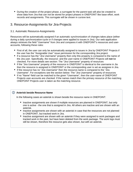During the creation of the project phase, a surrogate for the parent task will also be created to show data from Jira that can not be stored for project phases in ONEPOINT like base effort, work records and assignments. This surrogate will be shown in cursive text.

# <span id="page-15-0"></span>3. Resource-Assignments for Jira-Projects

# <span id="page-15-1"></span>3.1. Automatic Resource-Assignments

Resources will be automatically assigned if an automatic synchronization of changes takes place (either during a daily synchronization-cycle or if changes were applied to issues in Jira). Our web-application always retrieves the field "Username" from Jira and compares it with ONEPOINT's resources and useraccounts, following these rules:

- First of all, the user can only be automatically assigned to issues in Jira by ONEPOINT Projects if the user has the "Assignable User" issue permission for the corresponding Jira project.
- If a resource has the "Jira Username" property then only this property is compared to the name of the Jira user. Specifically, the resource- and the user-name in ONEPOINT Projects will **not** be checked. For more details see section: The "Jira Username" property of resources
- If the "Jira Username" property of the resource in ONEPOINT is identical to the username in Jia then the resource is assigned in ONEPOINT or the corresponding user is set as assignee in Jira.
- If the resource has no "Jira Username" then the resource-name is compared to the "Jira Username". For exceptions see the section below: The "Jira Username" property of resources
- If no "Name"-field can be matched to the given "Username", then the user-name of ONEPOINT Projects user-accounts are checked. If the names match then the primary resource of the matching ONEPOINT Projects user is taken as the matching resource.

# **Asterisk beside Resource Name**

In the following cases an asterisk is shown beside the resource name in ONEPOINT:

- Inactive assignments are shown if multiple resources are planned in ONEPOINT, but only one is active - the one that is assigned in Jira. All others are inactive and are shown with an asterisk.
- Inactive assignments are shown with an asterisk in case that the resources are not planned in ONEPOINT, but tracked work in Jira.
- Inactive assignment are shown with an asterisk if they were assigned to work packages and tracked work in the past, but have been deleted from the work package. The work logs must still be shown, therefore the resource gets also shown, but with an asterisk.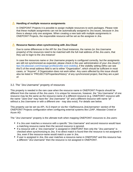#### **Handling of multiple resource assignments**

In ONEPOINT Projects it is possible to assign multiple resources to work packages. Please note that these multiple assignments can not be automatically assigned to Jira issues, because in Jira there is always only one assignee. When creating a new task with multiple assignments in ONEPOINT Projects, the responsible resource will be set as the assignee in Jira.

## **Resource Names when synchronizing with Jira Cloud**

Due to some differences in the API for Jira Cloud instances, the names (or Jira Username property) of the resources need to be matched with the full mail address of the Jira users, that they use to login to the Jira instance!

In case the resources name or Jira Username property is configured correctly, but the assigments are still not synchronized as expected, please check in the user administration of your Jira cloud [\(h](https://id.atlassian.com/manage-profile/profile-and-visibility) [ttps://id.atlassian.com/manage-profile/profile-and-visibility](https://id.atlassian.com/manage-profile/profile-and-visibility)), if the visibility setting (Who can see this?) of the email address field is set to either "Organization", which should be sufficient in most cases, or "Anyone", if Organization does not work either. Any users affected by this issue should also be listed in "PROJECTS/Properties/History" of any synchronized project, that they are a part of.

## <span id="page-16-0"></span>3.2. The "Jira Username" property of resources

This property is needed in the rare case when the resource name in ONEPOINT Projects should be different from the names of the Jira users. It is unique for resources, however, the "Jira Username" of one resource may be the same as the resource-name of a different resource (e.g. ONEPOINT resource with the name "Jane Doe" may have the "Jira Username" "jd" and a different resource with name "jd" without a Jira Username or with a different one - may also exist). For details see below.

This property can be set via API, XLS import or via the <OpResource.JiraUsername> section of the ONEPOINT Projects configuration when configuring external systems like LDAP, Atlassian Crowd or Azure AD.

The "Jira Username" property is the ultimate truth when mapping ONEPOINT resources to Jira users:

- If a Jira user matches a resource with a specific "Jira Username" and second resource would have a matching resource-name then the second resource is ignored.
- If a resource with a "Jira Username" is assigned in ONEPOINT then only the "Jira username" is checked when synchronizing to Jira. If no direct match is found then the resource is not assigned in Jira, even if the resource-name would match a user in Jira.
- If user is assigned in Jira, this user matches a resource-name in ONEPOINT and this resource has a different "Jira Username" then the resource is not assigned in ONEPOINT.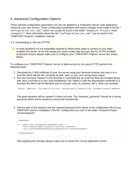# <span id="page-17-0"></span>4. Advanced Configuration Options

These optional configuration parameters can only be applied to a "Enterprise Server" web-application hosted by your own servers. These configuration parameters will require changes to be made to the file " configuration.oxc.xml", which can usually be found in the folder "Onepoint Project Home /onepoint". More information about the file "configuration.oxc.xml" can be found in the "ONEPOINT Projects" installation manual.

# <span id="page-17-1"></span>4.1. Connecting to Jira via HTTPS

In most situations it is not essentially required to follow these steps to connect to your httpsenabled Jira-server, so for trial setups you could usually skip this part. But for HTTPS-enabled production-servers please make sure to configure your "ONEPOINT Projects"-server like shown below.

To configure your "ONEPOINT Projects"-server to allow access to Jira using HTTPS perform the following steps:

- 1. Download the X.509 certificate of your Jira-server using your favourite browser and save it to a local file (We'll call this file, including its path "path to jira cert" during these steps)
- 2. Run the command "keytool" in the terminal or command-line (A small tool that was installed along with Java, you'll find it in your Java-installations "bin"-folder) to add the downloaded certificate to a keystore-file (We'll call the filename and its full path "path to keystore file"). Here's an example:

keytool -importcert -file path\_to\_jira\_cert -keystore path\_to\_keystore\_file -storepass keystore\_password

The given keystore will be created if it does not exist. The "keystore password" should be a strong password which will be needed to access the keystore-file.

3. Add the path to the keystore and the required password from above to the configuration-file of your ONEPOINT-server's installation (The file "configuration.oxc.xml" in the folder "Onepoint Project Home/onepoint"):

```
</database>
<!-- Insert your configuration parameters here -->
     <ssl-trustStore>path_to_keystore_file</ssl-trustStore>
     <ssl-trustStorePassword>keystore_password</ssl-trustStorePassword>
</configuration>
```
After applying the changes please make sure to restart the Tomcat application-server.